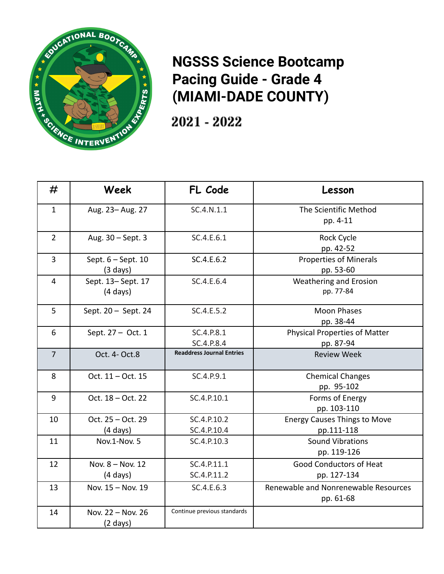

## **NGSSS Science Bootcamp Pacing Guide - Grade 4 (MIAMI-DADE COUNTY)**

2021 - 2022

| #              | Week                 | FL Code                          | Lesson                               |
|----------------|----------------------|----------------------------------|--------------------------------------|
| $\mathbf{1}$   | Aug. 23-Aug. 27      | SC.4.N.1.1                       | The Scientific Method                |
|                |                      |                                  | pp. 4-11                             |
| $\overline{2}$ | Aug. 30 - Sept. 3    | SC.4.E.6.1                       | Rock Cycle                           |
|                |                      |                                  | pp. 42-52                            |
| $\overline{3}$ | Sept. $6 - Sept. 10$ | SC.4.E.6.2                       | <b>Properties of Minerals</b>        |
|                | $(3 \text{ days})$   |                                  | pp. 53-60                            |
| $\overline{4}$ | Sept. 13-Sept. 17    | SC.4.E.6.4                       | Weathering and Erosion               |
|                | $(4 \text{ days})$   |                                  | pp. 77-84                            |
| 5              | Sept. 20 - Sept. 24  | SC.4.E.5.2                       | <b>Moon Phases</b>                   |
|                |                      |                                  | pp. 38-44                            |
| 6              | Sept. 27 - Oct. 1    | SC.4.P.8.1                       | <b>Physical Properties of Matter</b> |
|                |                      | SC.4.P.8.4                       | pp. 87-94                            |
| $\overline{7}$ | Oct. 4- Oct.8        | <b>Readdress Journal Entries</b> | <b>Review Week</b>                   |
| 8              | Oct. 11 - Oct. 15    | SC.4.P.9.1                       | <b>Chemical Changes</b>              |
|                |                      |                                  | pp. 95-102                           |
| 9              | Oct. 18 - Oct. 22    | SC.4.P.10.1                      | Forms of Energy                      |
|                |                      |                                  | pp. 103-110                          |
| 10             | Oct. 25 - Oct. 29    | SC.4.P.10.2                      | <b>Energy Causes Things to Move</b>  |
|                | $(4 \text{ days})$   | SC.4.P.10.4                      | pp.111-118                           |
| 11             | Nov.1-Nov. 5         | SC.4.P.10.3                      | <b>Sound Vibrations</b>              |
|                |                      |                                  | pp. 119-126                          |
| 12             | Nov. 8 - Nov. 12     | SC.4.P.11.1                      | Good Conductors of Heat              |
|                | $(4 \text{ days})$   | SC.4.P.11.2                      | pp. 127-134                          |
| 13             | Nov. 15 - Nov. 19    | SC.4.E.6.3                       | Renewable and Nonrenewable Resources |
|                |                      |                                  | pp. 61-68                            |
| 14             | Nov. 22 - Nov. 26    | Continue previous standards      |                                      |
|                | $(2 \text{ days})$   |                                  |                                      |